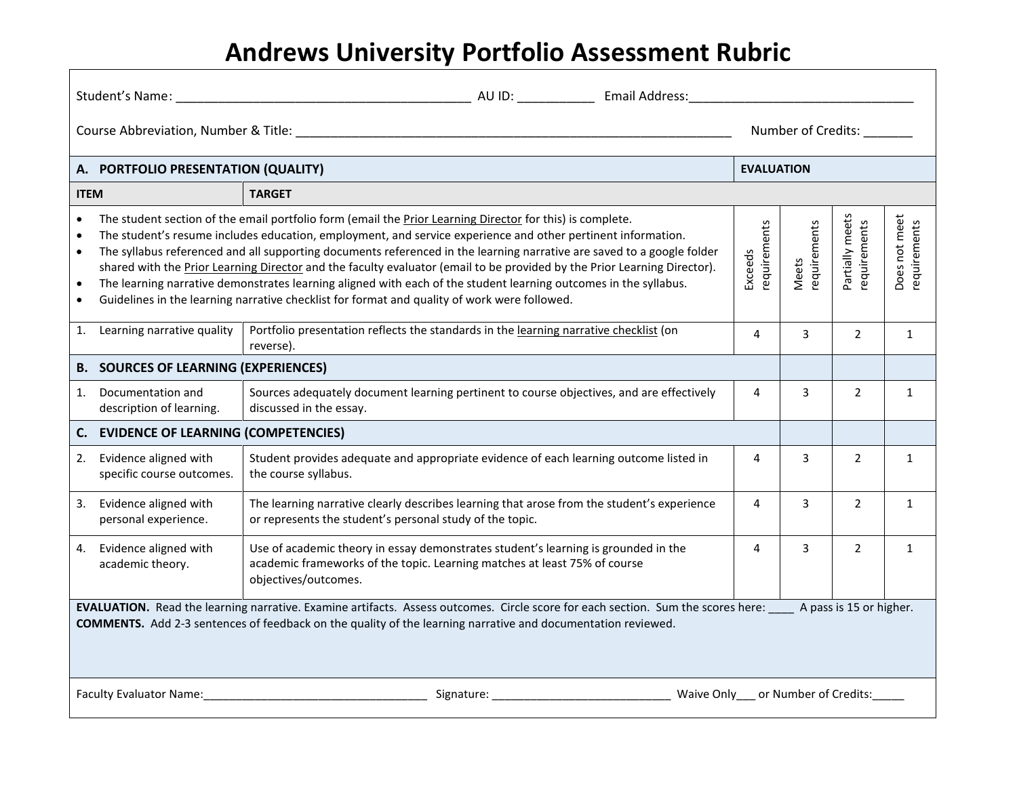# **Andrews University Portfolio Assessment Rubric**

| Student's Name:<br>AU ID: Email Address:<br><u> 1989 - Johann Barn, mars ann an t-Amhain an t-Amhain an t-Amhain an t-Amhain an t-Amhain an t-Amhain an t-Amh</u>                                                                                                             |                                                                                                                                                                                                                                                                                                                                                                                                                                                                                                                                                                                                                                                                                                                                                                                                             |                                                                                                                                                                                         |   |                   |                |                    |  |  |
|-------------------------------------------------------------------------------------------------------------------------------------------------------------------------------------------------------------------------------------------------------------------------------|-------------------------------------------------------------------------------------------------------------------------------------------------------------------------------------------------------------------------------------------------------------------------------------------------------------------------------------------------------------------------------------------------------------------------------------------------------------------------------------------------------------------------------------------------------------------------------------------------------------------------------------------------------------------------------------------------------------------------------------------------------------------------------------------------------------|-----------------------------------------------------------------------------------------------------------------------------------------------------------------------------------------|---|-------------------|----------------|--------------------|--|--|
|                                                                                                                                                                                                                                                                               |                                                                                                                                                                                                                                                                                                                                                                                                                                                                                                                                                                                                                                                                                                                                                                                                             |                                                                                                                                                                                         |   |                   |                | Number of Credits: |  |  |
|                                                                                                                                                                                                                                                                               | A. PORTFOLIO PRESENTATION (QUALITY)                                                                                                                                                                                                                                                                                                                                                                                                                                                                                                                                                                                                                                                                                                                                                                         |                                                                                                                                                                                         |   | <b>EVALUATION</b> |                |                    |  |  |
|                                                                                                                                                                                                                                                                               | <b>TARGET</b><br><b>ITEM</b>                                                                                                                                                                                                                                                                                                                                                                                                                                                                                                                                                                                                                                                                                                                                                                                |                                                                                                                                                                                         |   |                   |                |                    |  |  |
| $\bullet$<br>$\bullet$<br>$\bullet$<br>$\bullet$<br>$\bullet$                                                                                                                                                                                                                 | Partially meets<br>The student section of the email portfolio form (email the Prior Learning Director for this) is complete.<br>Does not meet<br>requirements<br>requirements<br>Meets<br>requirements<br>The student's resume includes education, employment, and service experience and other pertinent information.<br>The syllabus referenced and all supporting documents referenced in the learning narrative are saved to a google folder<br>Exceeds<br>shared with the Prior Learning Director and the faculty evaluator (email to be provided by the Prior Learning Director).<br>The learning narrative demonstrates learning aligned with each of the student learning outcomes in the syllabus.<br>Guidelines in the learning narrative checklist for format and quality of work were followed. |                                                                                                                                                                                         |   |                   |                | requirements       |  |  |
|                                                                                                                                                                                                                                                                               | 1. Learning narrative quality                                                                                                                                                                                                                                                                                                                                                                                                                                                                                                                                                                                                                                                                                                                                                                               | Portfolio presentation reflects the standards in the learning narrative checklist (on<br>reverse).                                                                                      | 4 | 3                 | $\overline{2}$ | $\mathbf{1}$       |  |  |
|                                                                                                                                                                                                                                                                               | <b>B. SOURCES OF LEARNING (EXPERIENCES)</b>                                                                                                                                                                                                                                                                                                                                                                                                                                                                                                                                                                                                                                                                                                                                                                 |                                                                                                                                                                                         |   |                   |                |                    |  |  |
| 1.                                                                                                                                                                                                                                                                            | Documentation and<br>description of learning.                                                                                                                                                                                                                                                                                                                                                                                                                                                                                                                                                                                                                                                                                                                                                               | Sources adequately document learning pertinent to course objectives, and are effectively<br>discussed in the essay.                                                                     | 4 | 3                 | $\overline{2}$ | $\mathbf{1}$       |  |  |
| C.                                                                                                                                                                                                                                                                            | <b>EVIDENCE OF LEARNING (COMPETENCIES)</b>                                                                                                                                                                                                                                                                                                                                                                                                                                                                                                                                                                                                                                                                                                                                                                  |                                                                                                                                                                                         |   |                   |                |                    |  |  |
| 2.                                                                                                                                                                                                                                                                            | Evidence aligned with<br>specific course outcomes.                                                                                                                                                                                                                                                                                                                                                                                                                                                                                                                                                                                                                                                                                                                                                          | Student provides adequate and appropriate evidence of each learning outcome listed in<br>the course syllabus.                                                                           | 4 | 3                 | $\overline{2}$ | $\mathbf{1}$       |  |  |
| 3.                                                                                                                                                                                                                                                                            | Evidence aligned with<br>personal experience.                                                                                                                                                                                                                                                                                                                                                                                                                                                                                                                                                                                                                                                                                                                                                               | The learning narrative clearly describes learning that arose from the student's experience<br>or represents the student's personal study of the topic.                                  | 4 | 3                 | $\overline{2}$ | $\mathbf{1}$       |  |  |
| 4.                                                                                                                                                                                                                                                                            | Evidence aligned with<br>academic theory.                                                                                                                                                                                                                                                                                                                                                                                                                                                                                                                                                                                                                                                                                                                                                                   | Use of academic theory in essay demonstrates student's learning is grounded in the<br>academic frameworks of the topic. Learning matches at least 75% of course<br>objectives/outcomes. | 4 | 3                 | $\overline{2}$ | $\mathbf{1}$       |  |  |
| EVALUATION. Read the learning narrative. Examine artifacts. Assess outcomes. Circle score for each section. Sum the scores here: ____ A pass is 15 or higher.<br>COMMENTS. Add 2-3 sentences of feedback on the quality of the learning narrative and documentation reviewed. |                                                                                                                                                                                                                                                                                                                                                                                                                                                                                                                                                                                                                                                                                                                                                                                                             |                                                                                                                                                                                         |   |                   |                |                    |  |  |
| Waive Only___ or Number of Credits:_<br><b>Faculty Evaluator Name:</b><br>Signature:                                                                                                                                                                                          |                                                                                                                                                                                                                                                                                                                                                                                                                                                                                                                                                                                                                                                                                                                                                                                                             |                                                                                                                                                                                         |   |                   |                |                    |  |  |